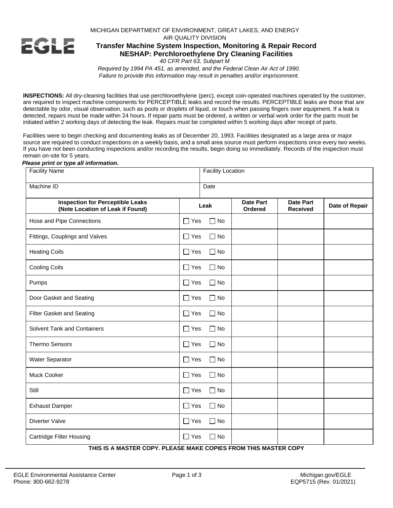MICHIGAN DEPARTMENT OF ENVIRONMENT, GREAT LAKES, AND ENERGY AIR QUALITY DIVISION

# EGLE

## **Transfer Machine System Inspection, Monitoring & Repair Record NESHAP: Perchloroethylene Dry Cleaning Facilities**

*40 CFR Part 63, Subpart M*

*Required by 1994 PA 451, as amended, and the Federal Clean Air Act of 1990. Failure to provide this information may result in penalties and/or imprisonment.*

**INSPECTIONS:** All dry-cleaning facilities that use perchloroethylene (perc), except coin-operated machines operated by the customer, are required to inspect machine components for PERCEPTIBLE leaks and record the results. PERCEPTIBLE leaks are those that are detectable by odor, visual observation, such as pools or droplets of liquid, or touch when passing fingers over equipment. If a leak is detected, repairs must be made within 24 hours. If repair parts must be ordered, a written or verbal work order for the parts must be initiated within 2 working days of detecting the leak. Repairs must be completed within 5 working days after receipt of parts.

Facilities were to begin checking and documenting leaks as of December 20, 1993. Facilities designated as a large area or major source are required to conduct inspections on a weekly basis, and a small area source must perform inspections once every two weeks. If you have not been conducting inspections and/or recording the results, begin doing so immediately. Records of the inspection must remain on-site for 5 years.

#### *Please print or type all information.*

| <b>Facility Name</b>                                                        |               | <b>Facility Location</b> |                             |                                     |                |  |
|-----------------------------------------------------------------------------|---------------|--------------------------|-----------------------------|-------------------------------------|----------------|--|
| Machine ID                                                                  |               | Date                     |                             |                                     |                |  |
| <b>Inspection for Perceptible Leaks</b><br>(Note Location of Leak if Found) | Leak          |                          | <b>Date Part</b><br>Ordered | <b>Date Part</b><br><b>Received</b> | Date of Repair |  |
| Hose and Pipe Connections                                                   | $\Box$ Yes    | $\Box$ No                |                             |                                     |                |  |
| Fittings, Couplings and Valves                                              | $\Box$ Yes    | $\Box$ No                |                             |                                     |                |  |
| <b>Heating Coils</b>                                                        | $\Box$ Yes    | $\Box$ No                |                             |                                     |                |  |
| <b>Cooling Coils</b>                                                        | $\Box$ Yes    | $\Box$ No                |                             |                                     |                |  |
| Pumps                                                                       | $\Box$ Yes    | $\Box$ No                |                             |                                     |                |  |
| Door Gasket and Seating                                                     | $\Box$ Yes    | $\Box$ No                |                             |                                     |                |  |
| <b>Filter Gasket and Seating</b>                                            | $\Box$ Yes    | $\Box$ No                |                             |                                     |                |  |
| <b>Solvent Tank and Containers</b>                                          | $\Box$ Yes    | $\Box$ No                |                             |                                     |                |  |
| <b>Thermo Sensors</b>                                                       | $\square$ Yes | ∩ No                     |                             |                                     |                |  |
| Water Separator                                                             | $\Box$ Yes    | $\Box$ No                |                             |                                     |                |  |
| Muck Cooker                                                                 | $\Box$ Yes    | $\Box$ No                |                             |                                     |                |  |
| Still                                                                       | $\Box$ Yes    | $\Box$ No                |                             |                                     |                |  |
| <b>Exhaust Damper</b>                                                       | $\Box$ Yes    | ∩ No                     |                             |                                     |                |  |
| Diverter Valve                                                              | $\Box$ Yes    | $\Box$ No                |                             |                                     |                |  |
| <b>Cartridge Filter Housing</b>                                             | $\Box$ Yes    | □ No                     |                             |                                     |                |  |

**THIS IS A MASTER COPY. PLEASE MAKE COPIES FROM THIS MASTER COPY**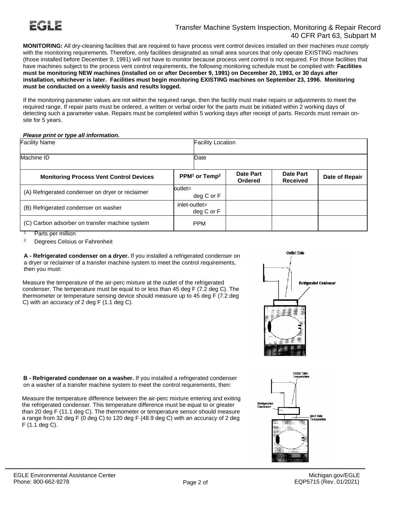### Transfer Machine System Inspection, Monitoring & Repair Record 40 CFR Part 63, Subpart M

**MONITORING:** All dry-cleaning facilities that are required to have process vent control devices installed on their machines must comply with the monitoring requirements. Therefore, only facilities designated as small area sources that only operate EXISTING machines (those installed before December 9, 1991) will not have to monitor because process vent control is not required. For those facilities that have machines subject to the process vent control requirements, the following monitoring schedule must be complied with: **Facilities must be monitoring NEW machines (installed on or after December 9, 1991) on December 20, 1993, or 30 days after installation, whichever is later. Facilities must begin monitoring EXISTING machines on September 23, 1996. Monitoring must be conducted on a weekly basis and results logged.**

If the monitoring parameter values are not within the required range, then the facility must make repairs or adjustments to meet the required range. If repair parts must be ordered, a written or verbal order for the parts must be initiated within 2 working days of detecting such a parameter value. Repairs must be completed within 5 working days after receipt of parts. Records must remain onsite for 5 years.

#### *Please print or type all information.*

| <b>Facility Name</b>                                                     |                                       | <b>Facility Location</b>    |                              |                |  |  |
|--------------------------------------------------------------------------|---------------------------------------|-----------------------------|------------------------------|----------------|--|--|
| Machine ID                                                               | Date                                  |                             |                              |                |  |  |
| <b>Monitoring Process Vent Control Devices</b>                           | PPM <sup>1</sup> or Temp <sup>2</sup> | Date Part<br><b>Ordered</b> | Date Part<br><b>Received</b> | Date of Repair |  |  |
| (A) Refrigerated condenser on dryer or reclaimer                         | outlet=<br>deg C or F                 |                             |                              |                |  |  |
| (B) Refrigerated condenser on washer                                     | $inlet-outlet =$<br>deg C or F        |                             |                              |                |  |  |
| (C) Carbon adsorber on transfer machine system<br>Dealers and additional | <b>PPM</b>                            |                             |                              |                |  |  |

Parts per million

<sup>2</sup> Degrees Celsius or Fahrenheit

**A - Refrigerated condenser on a dryer.** If you installed a refrigerated condenser on a dryer or reclaimer of a transfer machine system to meet the control requirements, then you must:

Measure the temperature of the air-perc mixture at the outlet of the refrigerated condenser. The temperature must be equal to or less than 45 deg F (7.2 deg C). The thermometer or temperature sensing device should measure up to 45 deg F (7.2 deg C) with an accuracy of 2 deg F (1.1 deg C).



**B - Refrigerated condenser on a washer.** If you installed a refrigerated condenser on a washer of a transfer machine system to meet the control requirements, then:

Measure the temperature difference between the air-perc mixture entering and exiting the refrigerated condenser. This temperature difference must be equal to or greater than 20 deg F (11.1 deg C). The thermometer or temperature sensor should measure a range from 32 deg F (0 deg C) to 120 deg F (48.9 deg C) with an accuracy of 2 deg F (1.1 deg C).